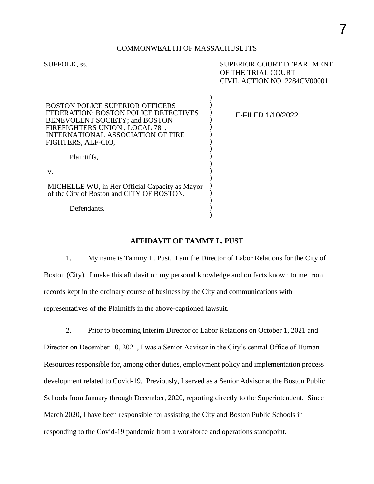# 7

#### COMMONWEALTH OF MASSACHUSETTS

) ) ) ) ) ) ) ) ) ) ) ) ) ) ) ) )

SUFFOLK, ss.  $\qquad \qquad \qquad$  SUPERIOR COURT DEPARTMENT OF THE TRIAL COURT CIVIL ACTION NO. 2284CV00001

| BOSTON POLICE SUPERIOR OFFICERS<br>FEDERATION; BOSTON POLICE DETECTIVES<br><b>BENEVOLENT SOCIETY; and BOSTON</b><br>FIREFIGHTERS UNION, LOCAL 781,<br><b>INTERNATIONAL ASSOCIATION OF FIRE</b><br>FIGHTERS, ALF-CIO, |
|----------------------------------------------------------------------------------------------------------------------------------------------------------------------------------------------------------------------|
| Plaintiffs.                                                                                                                                                                                                          |
| V.                                                                                                                                                                                                                   |

MICHELLE WU, in Her Official Capacity as Mayor of the City of Boston and CITY OF BOSTON,

Defendants.

E-FILED 1/10/2022

### **AFFIDAVIT OF TAMMY L. PUST**

1. My name is Tammy L. Pust. I am the Director of Labor Relations for the City of Boston (City). I make this affidavit on my personal knowledge and on facts known to me from records kept in the ordinary course of business by the City and communications with representatives of the Plaintiffs in the above-captioned lawsuit.

2. Prior to becoming Interim Director of Labor Relations on October 1, 2021 and Director on December 10, 2021, I was a Senior Advisor in the City's central Office of Human Resources responsible for, among other duties, employment policy and implementation process development related to Covid-19. Previously, I served as a Senior Advisor at the Boston Public Schools from January through December, 2020, reporting directly to the Superintendent. Since March 2020, I have been responsible for assisting the City and Boston Public Schools in responding to the Covid-19 pandemic from a workforce and operations standpoint.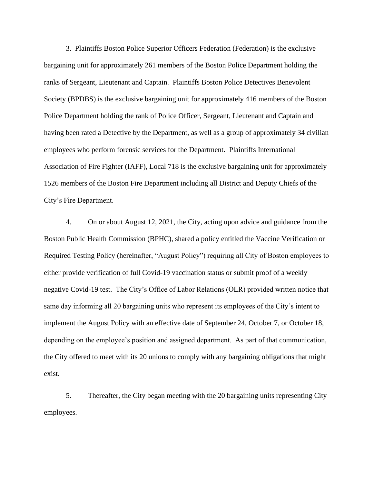3. Plaintiffs Boston Police Superior Officers Federation (Federation) is the exclusive bargaining unit for approximately 261 members of the Boston Police Department holding the ranks of Sergeant, Lieutenant and Captain. Plaintiffs Boston Police Detectives Benevolent Society (BPDBS) is the exclusive bargaining unit for approximately 416 members of the Boston Police Department holding the rank of Police Officer, Sergeant, Lieutenant and Captain and having been rated a Detective by the Department, as well as a group of approximately 34 civilian employees who perform forensic services for the Department. Plaintiffs International Association of Fire Fighter (IAFF), Local 718 is the exclusive bargaining unit for approximately 1526 members of the Boston Fire Department including all District and Deputy Chiefs of the City's Fire Department.

4. On or about August 12, 2021, the City, acting upon advice and guidance from the Boston Public Health Commission (BPHC), shared a policy entitled the Vaccine Verification or Required Testing Policy (hereinafter, "August Policy") requiring all City of Boston employees to either provide verification of full Covid-19 vaccination status or submit proof of a weekly negative Covid-19 test. The City's Office of Labor Relations (OLR) provided written notice that same day informing all 20 bargaining units who represent its employees of the City's intent to implement the August Policy with an effective date of September 24, October 7, or October 18, depending on the employee's position and assigned department. As part of that communication, the City offered to meet with its 20 unions to comply with any bargaining obligations that might exist.

5. Thereafter, the City began meeting with the 20 bargaining units representing City employees.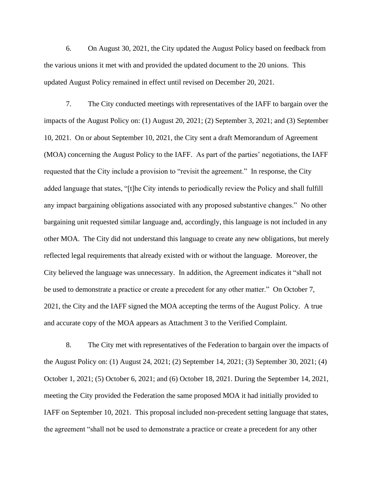6. On August 30, 2021, the City updated the August Policy based on feedback from the various unions it met with and provided the updated document to the 20 unions. This updated August Policy remained in effect until revised on December 20, 2021.

7. The City conducted meetings with representatives of the IAFF to bargain over the impacts of the August Policy on: (1) August 20, 2021; (2) September 3, 2021; and (3) September 10, 2021. On or about September 10, 2021, the City sent a draft Memorandum of Agreement (MOA) concerning the August Policy to the IAFF. As part of the parties' negotiations, the IAFF requested that the City include a provision to "revisit the agreement." In response, the City added language that states, "[t]he City intends to periodically review the Policy and shall fulfill any impact bargaining obligations associated with any proposed substantive changes." No other bargaining unit requested similar language and, accordingly, this language is not included in any other MOA. The City did not understand this language to create any new obligations, but merely reflected legal requirements that already existed with or without the language. Moreover, the City believed the language was unnecessary. In addition, the Agreement indicates it "shall not be used to demonstrate a practice or create a precedent for any other matter." On October 7, 2021, the City and the IAFF signed the MOA accepting the terms of the August Policy. A true and accurate copy of the MOA appears as Attachment 3 to the Verified Complaint.

8. The City met with representatives of the Federation to bargain over the impacts of the August Policy on: (1) August 24, 2021; (2) September 14, 2021; (3) September 30, 2021; (4) October 1, 2021; (5) October 6, 2021; and (6) October 18, 2021. During the September 14, 2021, meeting the City provided the Federation the same proposed MOA it had initially provided to IAFF on September 10, 2021. This proposal included non-precedent setting language that states, the agreement "shall not be used to demonstrate a practice or create a precedent for any other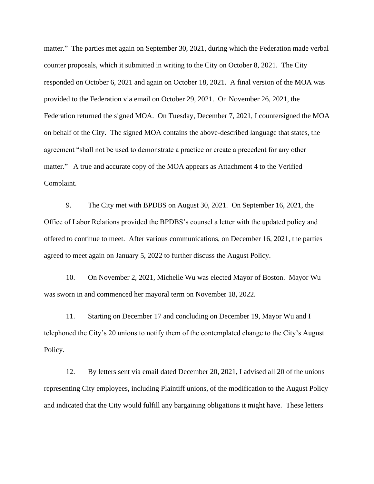matter." The parties met again on September 30, 2021, during which the Federation made verbal counter proposals, which it submitted in writing to the City on October 8, 2021. The City responded on October 6, 2021 and again on October 18, 2021. A final version of the MOA was provided to the Federation via email on October 29, 2021. On November 26, 2021, the Federation returned the signed MOA. On Tuesday, December 7, 2021, I countersigned the MOA on behalf of the City. The signed MOA contains the above-described language that states, the agreement "shall not be used to demonstrate a practice or create a precedent for any other matter." A true and accurate copy of the MOA appears as Attachment 4 to the Verified Complaint.

9. The City met with BPDBS on August 30, 2021. On September 16, 2021, the Office of Labor Relations provided the BPDBS's counsel a letter with the updated policy and offered to continue to meet. After various communications, on December 16, 2021, the parties agreed to meet again on January 5, 2022 to further discuss the August Policy.

10. On November 2, 2021, Michelle Wu was elected Mayor of Boston. Mayor Wu was sworn in and commenced her mayoral term on November 18, 2022.

11. Starting on December 17 and concluding on December 19, Mayor Wu and I telephoned the City's 20 unions to notify them of the contemplated change to the City's August Policy.

12. By letters sent via email dated December 20, 2021, I advised all 20 of the unions representing City employees, including Plaintiff unions, of the modification to the August Policy and indicated that the City would fulfill any bargaining obligations it might have. These letters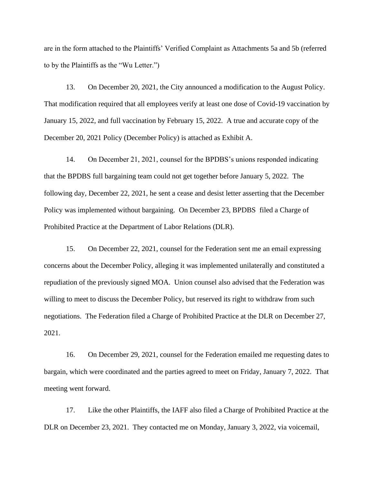are in the form attached to the Plaintiffs' Verified Complaint as Attachments 5a and 5b (referred to by the Plaintiffs as the "Wu Letter.")

13. On December 20, 2021, the City announced a modification to the August Policy. That modification required that all employees verify at least one dose of Covid-19 vaccination by January 15, 2022, and full vaccination by February 15, 2022. A true and accurate copy of the December 20, 2021 Policy (December Policy) is attached as Exhibit A.

14. On December 21, 2021, counsel for the BPDBS's unions responded indicating that the BPDBS full bargaining team could not get together before January 5, 2022. The following day, December 22, 2021, he sent a cease and desist letter asserting that the December Policy was implemented without bargaining. On December 23, BPDBS filed a Charge of Prohibited Practice at the Department of Labor Relations (DLR).

15. On December 22, 2021, counsel for the Federation sent me an email expressing concerns about the December Policy, alleging it was implemented unilaterally and constituted a repudiation of the previously signed MOA. Union counsel also advised that the Federation was willing to meet to discuss the December Policy, but reserved its right to withdraw from such negotiations. The Federation filed a Charge of Prohibited Practice at the DLR on December 27, 2021.

16. On December 29, 2021, counsel for the Federation emailed me requesting dates to bargain, which were coordinated and the parties agreed to meet on Friday, January 7, 2022. That meeting went forward.

17. Like the other Plaintiffs, the IAFF also filed a Charge of Prohibited Practice at the DLR on December 23, 2021. They contacted me on Monday, January 3, 2022, via voicemail,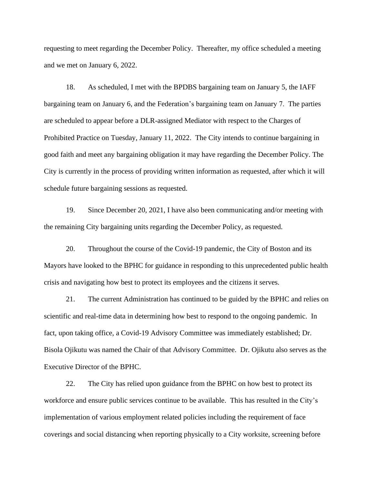requesting to meet regarding the December Policy. Thereafter, my office scheduled a meeting and we met on January 6, 2022.

18. As scheduled, I met with the BPDBS bargaining team on January 5, the IAFF bargaining team on January 6, and the Federation's bargaining team on January 7. The parties are scheduled to appear before a DLR-assigned Mediator with respect to the Charges of Prohibited Practice on Tuesday, January 11, 2022. The City intends to continue bargaining in good faith and meet any bargaining obligation it may have regarding the December Policy. The City is currently in the process of providing written information as requested, after which it will schedule future bargaining sessions as requested.

19. Since December 20, 2021, I have also been communicating and/or meeting with the remaining City bargaining units regarding the December Policy, as requested.

20. Throughout the course of the Covid-19 pandemic, the City of Boston and its Mayors have looked to the BPHC for guidance in responding to this unprecedented public health crisis and navigating how best to protect its employees and the citizens it serves.

21. The current Administration has continued to be guided by the BPHC and relies on scientific and real-time data in determining how best to respond to the ongoing pandemic. In fact, upon taking office, a Covid-19 Advisory Committee was immediately established; Dr. Bisola Ojikutu was named the Chair of that Advisory Committee. Dr. Ojikutu also serves as the Executive Director of the BPHC.

22. The City has relied upon guidance from the BPHC on how best to protect its workforce and ensure public services continue to be available. This has resulted in the City's implementation of various employment related policies including the requirement of face coverings and social distancing when reporting physically to a City worksite, screening before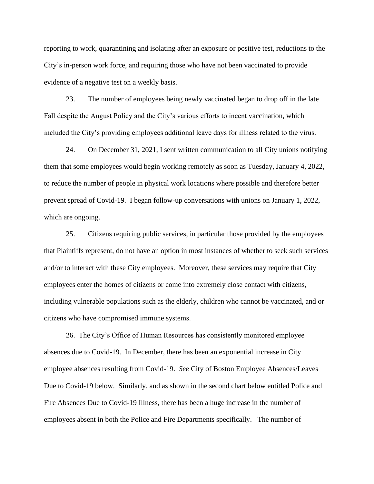reporting to work, quarantining and isolating after an exposure or positive test, reductions to the City's in-person work force, and requiring those who have not been vaccinated to provide evidence of a negative test on a weekly basis.

23. The number of employees being newly vaccinated began to drop off in the late Fall despite the August Policy and the City's various efforts to incent vaccination, which included the City's providing employees additional leave days for illness related to the virus.

24. On December 31, 2021, I sent written communication to all City unions notifying them that some employees would begin working remotely as soon as Tuesday, January 4, 2022, to reduce the number of people in physical work locations where possible and therefore better prevent spread of Covid-19. I began follow-up conversations with unions on January 1, 2022, which are ongoing.

25. Citizens requiring public services, in particular those provided by the employees that Plaintiffs represent, do not have an option in most instances of whether to seek such services and/or to interact with these City employees. Moreover, these services may require that City employees enter the homes of citizens or come into extremely close contact with citizens, including vulnerable populations such as the elderly, children who cannot be vaccinated, and or citizens who have compromised immune systems.

26. The City's Office of Human Resources has consistently monitored employee absences due to Covid-19. In December, there has been an exponential increase in City employee absences resulting from Covid-19. *See* City of Boston Employee Absences/Leaves Due to Covid-19 below. Similarly, and as shown in the second chart below entitled Police and Fire Absences Due to Covid-19 Illness, there has been a huge increase in the number of employees absent in both the Police and Fire Departments specifically. The number of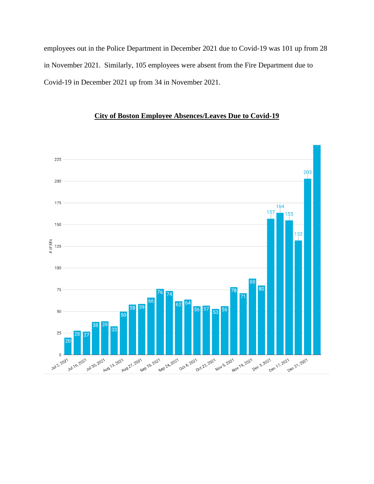employees out in the Police Department in December 2021 due to Covid-19 was 101 up from 28 in November 2021. Similarly, 105 employees were absent from the Fire Department due to Covid-19 in December 2021 up from 34 in November 2021.



## **City of Boston Employee Absences/Leaves Due to Covid-19**